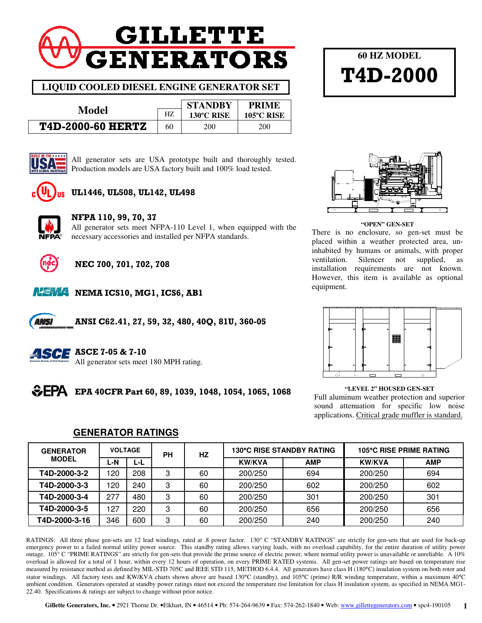# **GILLETTE GENERATORS**

**LIQUID COOLED DIESEL ENGINE GENERATOR SET** 

|                          |    | <b>STANDBY</b> | <b>PRIME</b> |
|--------------------------|----|----------------|--------------|
| Model                    |    | 130°C RISE     | 105°C RISE   |
| <b>T4D-2000-60 HERTZ</b> | 60 | <b>200</b>     | 200          |



All generator sets are USA prototype built and thoroughly tested. Production models are USA factory built and 100% load tested.



### UL1446, UL508, UL142, UL498



#### NFPA 110, 99, 70, 37

All generator sets meet NFPA-110 Level 1, when equipped with the necessary accessories and installed per NFPA standards.



## NEC 700, 701, 702, 708



ANS)

**NEMA NEMA ICS10, MG1, ICS6, AB1** 

ANSI C62.41, 27, 59, 32, 480, 40Q, 81U, 360-05



#### **ASCE** ASCE 7-05 & 7-10

All generator sets meet 180 MPH rating.



**60 HZ MODEL** 

T4D-2000

#### **"OPEN" GEN-SET**

There is no enclosure, so gen-set must be placed within a weather protected area, uninhabited by humans or animals, with proper ventilation. Silencer not supplied, installation requirements are not known. However, this item is available as optional equipment.



# Full aluminum weather protection and superior

sound attenuation for specific low noise applications. Critical grade muffler is standard.

| <b>GENERATOR</b> | <b>VOLTAGE</b> |     | PН | HZ |               | <b>130°C RISE STANDBY RATING</b> |               | <b>105°C RISE PRIME RATING</b> |
|------------------|----------------|-----|----|----|---------------|----------------------------------|---------------|--------------------------------|
| <b>MODEL</b>     | L-N            | ĿĿ  |    |    | <b>KW/KVA</b> | <b>AMP</b>                       | <b>KW/KVA</b> | <b>AMP</b>                     |
| T4D-2000-3-2     | 120            | 208 | ົ  | 60 | 200/250       | 694                              | 200/250       | 694                            |
| T4D-2000-3-3     | 120            | 240 | 3  | 60 | 200/250       | 602                              | 200/250       | 602                            |
| T4D-2000-3-4     | 277            | 480 | 3  | 60 | 200/250       | 301                              | 200/250       | 301                            |
| T4D-2000-3-5     | 127            | 220 | 3  | 60 | 200/250       | 656                              | 200/250       | 656                            |
| T4D-2000-3-16    | 346            | 600 | 3  | 60 | 200/250       | 240                              | 200/250       | 240                            |

**GENERATOR RATINGS**

RATINGS: All three phase gen-sets are 12 lead windings, rated at .8 power factor. 130° C "STANDBY RATINGS" are strictly for gen-sets that are used for back-up emergency power to a failed normal utility power source. This standby rating allows varying loads, with no overload capability, for the entire duration of utility power outage. 105° C "PRIME RATINGS" are strictly for gen-sets that provide the prime source of electric power, where normal utility power is unavailable or unreliable. A 10% overload is allowed for a total of 1 hour, within every 12 hours of operation, on every PRIME RATED systems. All gen-set power ratings are based on temperature rise measured by resistance method as defined by MIL-STD 705C and IEEE STD 115, METHOD 6.4.4. All generators have class H (180°C) insulation system on both rotor and stator windings. All factory tests and KW/KVA charts shown above are based 130°C (standby), and 105°C (prime) R/R winding temperature, within a maximum 40°C ambient condition. Generators operated at standby power ratings must not exceed the temperature rise limitation for class H insulation system, as specified in NEMA MG1- 22.40. Specifications & ratings are subject to change without prior notice.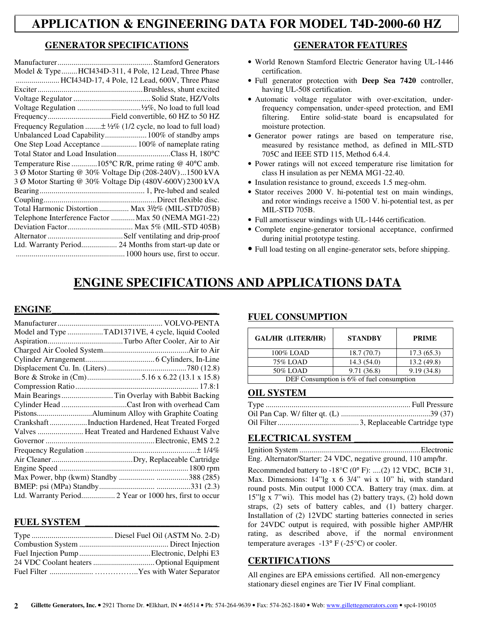# **APPLICATION & ENGINEERING DATA FOR MODEL T4D-2000-60 HZ**

#### **GENERATOR SPECIFICATIONS**

| Model & TypeHCI434D-311, 4 Pole, 12 Lead, Three Phase                      |
|----------------------------------------------------------------------------|
| HCI434D-17, 4 Pole, 12 Lead, 600V, Three Phase                             |
|                                                                            |
|                                                                            |
|                                                                            |
| FrequencyField convertible, 60 HZ to 50 HZ                                 |
| Frequency Regulation $\pm \frac{1}{2}\%$ (1/2 cycle, no load to full load) |
| Unbalanced Load Capability 100% of standby amps                            |
| One Step Load Acceptance  100% of nameplate rating                         |
| Total Stator and Load InsulationClass H, 180°C                             |
| Temperature Rise 105°C R/R, prime rating $@$ 40°C amb.                     |
| 3 Ø Motor Starting @ 30% Voltage Dip (208-240V)1500 kVA                    |
| 3 Ø Motor Starting @ 30% Voltage Dip (480V-600V) 2300 kVA                  |
|                                                                            |
|                                                                            |
| Total Harmonic Distortion  Max 31/2% (MIL-STD705B)                         |
| Telephone Interference Factor  Max 50 (NEMA MG1-22)                        |
|                                                                            |
|                                                                            |
| Ltd. Warranty Period 24 Months from start-up date or                       |
|                                                                            |

#### **GENERATOR FEATURES**

- World Renown Stamford Electric Generator having UL-1446 certification.
- Full generator protection with **Deep Sea 7420** controller, having UL-508 certification.
- Automatic voltage regulator with over-excitation, underfrequency compensation, under-speed protection, and EMI filtering. Entire solid-state board is encapsulated for moisture protection.
- Generator power ratings are based on temperature rise, measured by resistance method, as defined in MIL-STD 705C and IEEE STD 115, Method 6.4.4.
- Power ratings will not exceed temperature rise limitation for class H insulation as per NEMA MG1-22.40.
- Insulation resistance to ground, exceeds 1.5 meg-ohm.
- Stator receives 2000 V. hi-potential test on main windings, and rotor windings receive a 1500 V. hi-potential test, as per MIL-STD 705B.
- Full amortisseur windings with UL-1446 certification.
- Complete engine-generator torsional acceptance, confirmed during initial prototype testing.
- Full load testing on all engine-generator sets, before shipping.

# **ENGINE SPECIFICATIONS AND APPLICATIONS DATA**

#### $ENGINE$

| Model and Type TAD1371VE, 4 cycle, liquid Cooled        |
|---------------------------------------------------------|
|                                                         |
|                                                         |
|                                                         |
|                                                         |
|                                                         |
|                                                         |
| Main Bearings  Tin Overlay with Babbit Backing          |
|                                                         |
|                                                         |
| CrankshaftInduction Hardened, Heat Treated Forged       |
| Valves  Heat Treated and Hardened Exhaust Valve         |
|                                                         |
|                                                         |
|                                                         |
|                                                         |
|                                                         |
|                                                         |
| Ltd. Warranty Period 2 Year or 1000 hrs, first to occur |

#### **FUEL SYSTEM \_\_\_\_\_\_\_\_\_\_\_\_\_\_\_\_\_\_\_\_\_\_\_\_\_\_\_\_**

#### **FUEL CONSUMPTION**

| <b>GAL/HR (LITER/HR)</b>                     | <b>STANDBY</b> | <b>PRIME</b> |  |
|----------------------------------------------|----------------|--------------|--|
| 100% LOAD                                    | 18.7(70.7)     | 17.3(65.3)   |  |
| 75% LOAD                                     | 14.3(54.0)     | 13.2(49.8)   |  |
| 50% LOAD                                     | 9.71(36.8)     | 9.19(34.8)   |  |
| DEF Consumption is $6\%$ of fuel consumption |                |              |  |

#### **OIL SYSTEM**

#### **ELECTRICAL SYSTEM \_\_\_\_\_\_\_\_\_\_\_\_\_\_\_\_\_\_\_\_\_**

Ignition System ............................................................. Electronic Eng. Alternator/Starter: 24 VDC, negative ground, 110 amp/hr.

Recommended battery to  $-18^{\circ}C$  (0° F): ....(2) 12 VDC, BCI# 31, Max. Dimensions: 14"lg x 6 3/4" wi x 10" hi, with standard round posts. Min output 1000 CCA. Battery tray (max. dim. at 15"lg x 7"wi). This model has (2) battery trays, (2) hold down straps, (2) sets of battery cables, and (1) battery charger. Installation of (2) 12VDC starting batteries connected in series for 24VDC output is required, with possible higher AMP/HR rating, as described above, if the normal environment temperature averages  $-13^{\circ}$  F ( $-25^{\circ}$ C) or cooler.

#### **CERTIFICATIONS**

All engines are EPA emissions certified. All non-emergency stationary diesel engines are Tier IV Final compliant.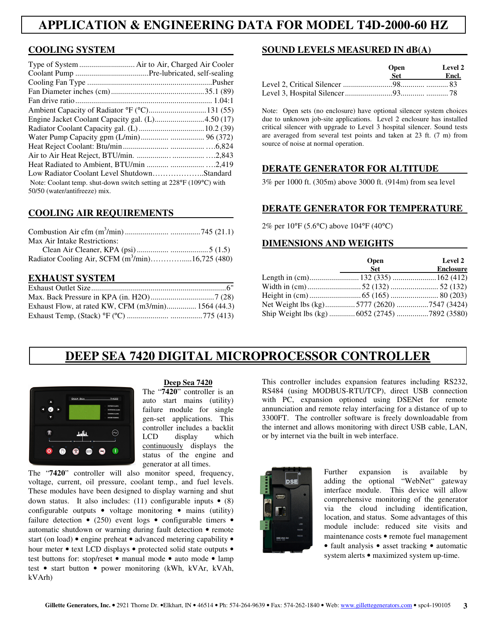# **APPLICATION & ENGINEERING DATA FOR MODEL T4D-2000-60 HZ**

#### **COOLING SYSTEM**

| Type of System  Air to Air, Charged Air Cooler                     |  |
|--------------------------------------------------------------------|--|
|                                                                    |  |
|                                                                    |  |
|                                                                    |  |
|                                                                    |  |
|                                                                    |  |
| Engine Jacket Coolant Capacity gal. (L)4.50 (17)                   |  |
|                                                                    |  |
|                                                                    |  |
|                                                                    |  |
|                                                                    |  |
|                                                                    |  |
| Low Radiator Coolant Level ShutdownStandard                        |  |
| Note: Coolant temp. shut-down switch setting at 228°F (109°C) with |  |
| 50/50 (water/antifreeze) mix.                                      |  |

#### **COOLING AIR REQUIREMENTS**

| Max Air Intake Restrictions:                        |  |
|-----------------------------------------------------|--|
|                                                     |  |
| Radiator Cooling Air, SCFM $(m^3/min)$ 16,725 (480) |  |

#### **EXHAUST SYSTEM**

| Exhaust Flow, at rated KW, CFM (m3/min) 1564 (44.3) |  |
|-----------------------------------------------------|--|
|                                                     |  |

#### **SOUND LEVELS MEASURED IN dB(A)**

| <b>Open</b> | Level 2 |  |
|-------------|---------|--|
| Set.        | Encl.   |  |
|             |         |  |
|             |         |  |

Note: Open sets (no enclosure) have optional silencer system choices due to unknown job-site applications. Level 2 enclosure has installed critical silencer with upgrade to Level 3 hospital silencer. Sound tests are averaged from several test points and taken at 23 ft. (7 m) from source of noise at normal operation.

#### **DERATE GENERATOR FOR ALTITUDE**

3% per 1000 ft. (305m) above 3000 ft. (914m) from sea level

#### **DERATE GENERATOR FOR TEMPERATURE**

2% per 10°F (5.6°C) above 104°F (40°C)

#### **DIMENSIONS AND WEIGHTS**

|                                               | <b>Open</b> | <b>Level 2</b>   |
|-----------------------------------------------|-------------|------------------|
|                                               | <b>Set</b>  | <b>Enclosure</b> |
|                                               |             |                  |
|                                               |             |                  |
|                                               |             |                  |
| Net Weight lbs (kg)5777 (2620)7547 (3424)     |             |                  |
| Ship Weight lbs (kg)  6052 (2745) 7892 (3580) |             |                  |

# **DEEP SEA 7420 DIGITAL MICROPROCESSOR CONTROLLER**



#### **Deep Sea 7420**

The "**7420**" controller is an auto start mains (utility) failure module for single gen-set applications. This controller includes a backlit LCD display which continuously displays the status of the engine and generator at all times.

The "**7420**" controller will also monitor speed, frequency, voltage, current, oil pressure, coolant temp., and fuel levels. These modules have been designed to display warning and shut down status. It also includes: (11) configurable inputs  $\bullet$  (8) configurable outputs • voltage monitoring • mains (utility) failure detection  $\bullet$  (250) event logs  $\bullet$  configurable timers  $\bullet$ automatic shutdown or warning during fault detection • remote start (on load) • engine preheat • advanced metering capability • hour meter • text LCD displays • protected solid state outputs • test buttons for: stop/reset • manual mode • auto mode • lamp test • start button • power monitoring (kWh, kVAr, kVAh, kVArh)

This controller includes expansion features including RS232, RS484 (using MODBUS-RTU/TCP), direct USB connection with PC, expansion optioned using DSENet for remote annunciation and remote relay interfacing for a distance of up to 3300FT. The controller software is freely downloadable from the internet and allows monitoring with direct USB cable, LAN, or by internet via the built in web interface.



Further expansion is available by adding the optional "WebNet" gateway interface module. This device will allow comprehensive monitoring of the generator via the cloud including identification, location, and status. Some advantages of this module include: reduced site visits and maintenance costs • remote fuel management • fault analysis • asset tracking • automatic system alerts • maximized system up-time.